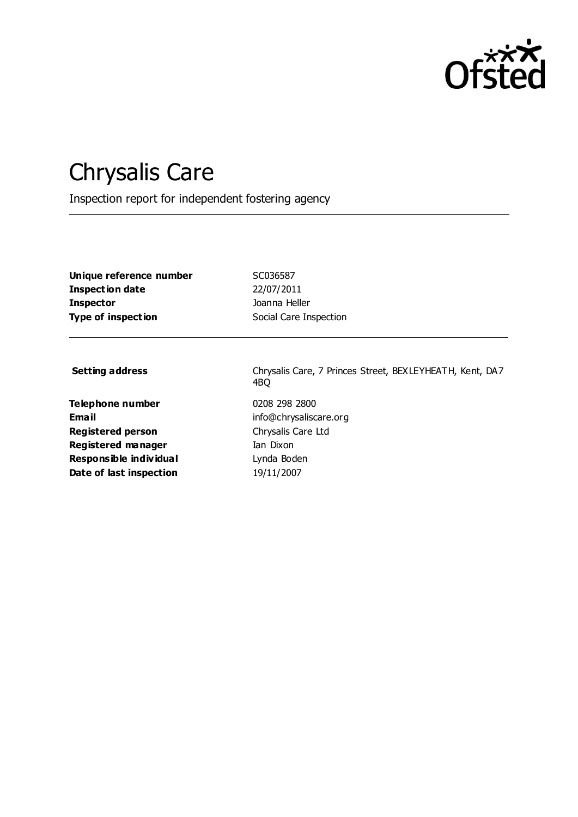

# Chrysalis Care

Inspection report for independent fostering agency

**Unique reference number** SC036587 **Inspection date** 22/07/2011 **Inspector Inspector Inspector Insulated** Joanna Heller **Type of inspection** Social Care Inspection

**Telephone number** 0208 298 2800 **Email** info@chrysaliscare.org **Registered person** Chrysalis Care Ltd **Registered manager** Ian Dixon **Responsible individual Channel Lynda Boden Date of last inspection** 19/11/2007

Setting address **Setting address** Chrysalis Care, 7 Princes Street, BEXLEYHEATH, Kent, DA7 4BQ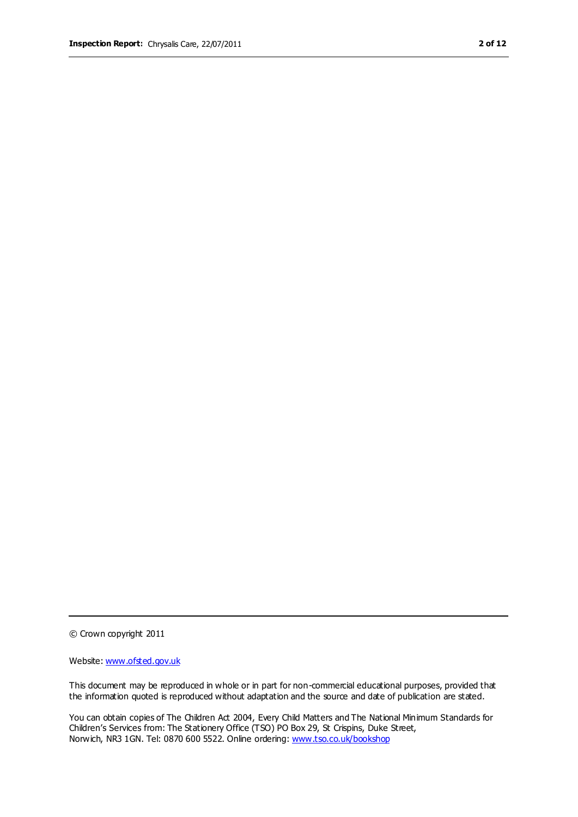© Crown copyright 2011

Website: www.ofsted.gov.uk

This document may be reproduced in whole or in part for non-commercial educational purposes, provided that the information quoted is reproduced without adaptation and the source and date of publication are stated.

You can obtain copies of The Children Act 2004, Every Child Matters and The National Minimum Standards for Children's Services from: The Stationery Office (TSO) PO Box 29, St Crispins, Duke Street, Norwich, NR3 1GN. Tel: 0870 600 5522. Online ordering: www.tso.co.uk/bookshop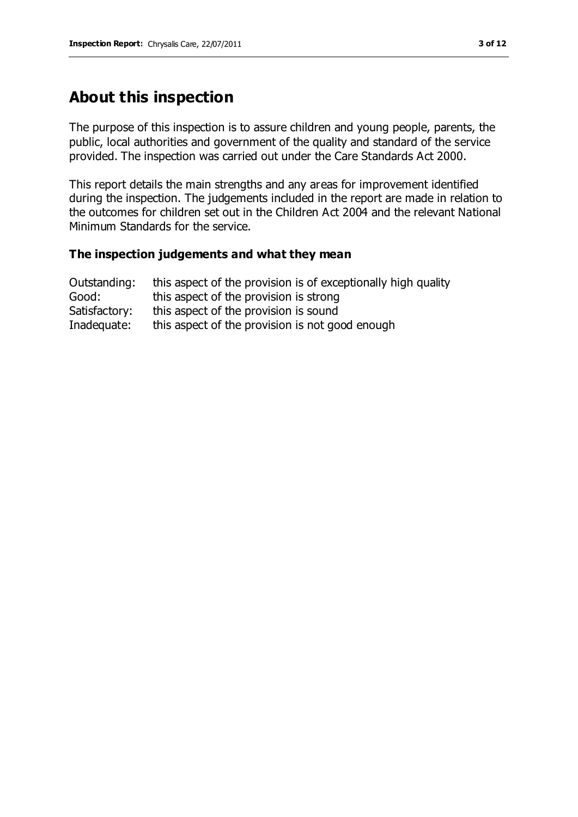# **About this inspection**

The purpose of this inspection is to assure children and young people, parents, the public, local authorities and government of the quality and standard of the service provided. The inspection was carried out under the Care Standards Act 2000.

This report details the main strengths and any areas for improvement identified during the inspection. The judgements included in the report are made in relation to the outcomes for children set out in the Children Act 2004 and the relevant National Minimum Standards for the service.

#### **The inspection judgements and what they mean**

| Outstanding:  | this aspect of the provision is of exceptionally high quality |
|---------------|---------------------------------------------------------------|
| Good:         | this aspect of the provision is strong                        |
| Satisfactory: | this aspect of the provision is sound                         |
| Inadequate:   | this aspect of the provision is not good enough               |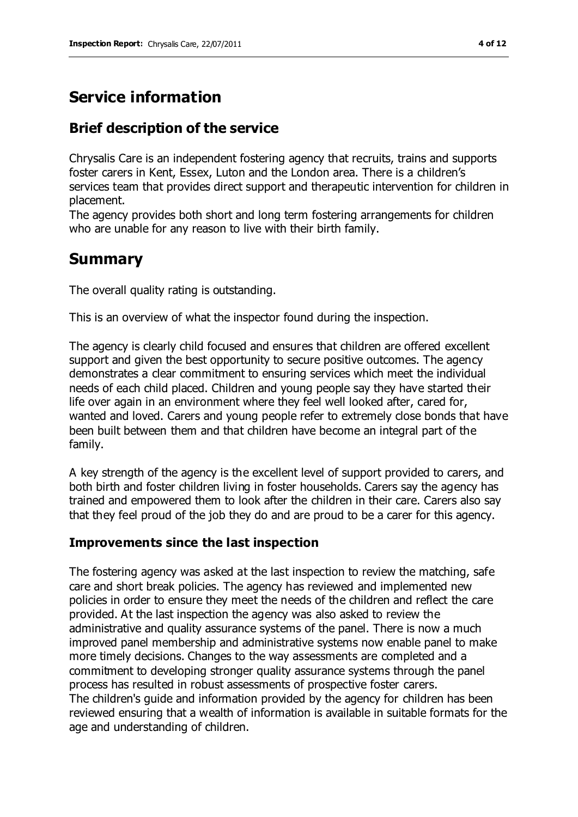# **Service information**

# **Brief description of the service**

Chrysalis Care is an independent fostering agency that recruits, trains and supports foster carers in Kent, Essex, Luton and the London area. There is a children's services team that provides direct support and therapeutic intervention for children in placement.

The agency provides both short and long term fostering arrangements for children who are unable for any reason to live with their birth family.

# **Summary**

The overall quality rating is outstanding.

This is an overview of what the inspector found during the inspection.

The agency is clearly child focused and ensures that children are offered excellent support and given the best opportunity to secure positive outcomes. The agency demonstrates a clear commitment to ensuring services which meet the individual needs of each child placed. Children and young people say they have started their life over again in an environment where they feel well looked after, cared for, wanted and loved. Carers and young people refer to extremely close bonds that have been built between them and that children have become an integral part of the family.

A key strength of the agency is the excellent level of support provided to carers, and both birth and foster children living in foster households. Carers say the agency has trained and empowered them to look after the children in their care. Carers also say that they feel proud of the job they do and are proud to be a carer for this agency.

## **Improvements since the last inspection**

The fostering agency was asked at the last inspection to review the matching, safe care and short break policies. The agency has reviewed and implemented new policies in order to ensure they meet the needs of the children and reflect the care provided. At the last inspection the agency was also asked to review the administrative and quality assurance systems of the panel. There is now a much improved panel membership and administrative systems now enable panel to make more timely decisions. Changes to the way assessments are completed and a commitment to developing stronger quality assurance systems through the panel process has resulted in robust assessments of prospective foster carers. The children's guide and information provided by the agency for children has been reviewed ensuring that a wealth of information is available in suitable formats for the age and understanding of children.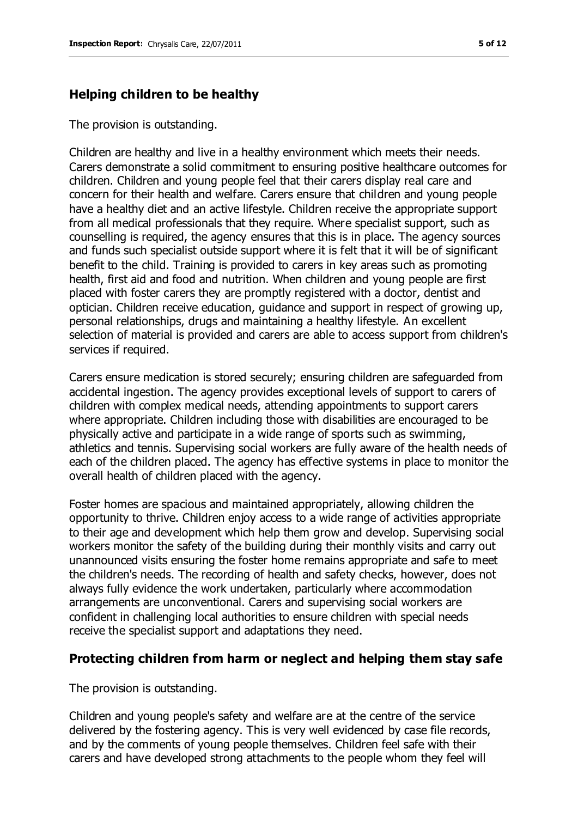### **Helping children to be healthy**

The provision is outstanding.

Children are healthy and live in a healthy environment which meets their needs. Carers demonstrate a solid commitment to ensuring positive healthcare outcomes for children. Children and young people feel that their carers display real care and concern for their health and welfare. Carers ensure that children and young people have a healthy diet and an active lifestyle. Children receive the appropriate support from all medical professionals that they require. Where specialist support, such as counselling is required, the agency ensures that this is in place. The agency sources and funds such specialist outside support where it is felt that it will be of significant benefit to the child. Training is provided to carers in key areas such as promoting health, first aid and food and nutrition. When children and young people are first placed with foster carers they are promptly registered with a doctor, dentist and optician. Children receive education, guidance and support in respect of growing up, personal relationships, drugs and maintaining a healthy lifestyle. An excellent selection of material is provided and carers are able to access support from children's services if required.

Carers ensure medication is stored securely; ensuring children are safeguarded from accidental ingestion. The agency provides exceptional levels of support to carers of children with complex medical needs, attending appointments to support carers where appropriate. Children including those with disabilities are encouraged to be physically active and participate in a wide range of sports such as swimming, athletics and tennis. Supervising social workers are fully aware of the health needs of each of the children placed. The agency has effective systems in place to monitor the overall health of children placed with the agency.

Foster homes are spacious and maintained appropriately, allowing children the opportunity to thrive. Children enjoy access to a wide range of activities appropriate to their age and development which help them grow and develop. Supervising social workers monitor the safety of the building during their monthly visits and carry out unannounced visits ensuring the foster home remains appropriate and safe to meet the children's needs. The recording of health and safety checks, however, does not always fully evidence the work undertaken, particularly where accommodation arrangements are unconventional. Carers and supervising social workers are confident in challenging local authorities to ensure children with special needs receive the specialist support and adaptations they need.

#### **Protecting children from harm or neglect and helping them stay safe**

The provision is outstanding.

Children and young people's safety and welfare are at the centre of the service delivered by the fostering agency. This is very well evidenced by case file records, and by the comments of young people themselves. Children feel safe with their carers and have developed strong attachments to the people whom they feel will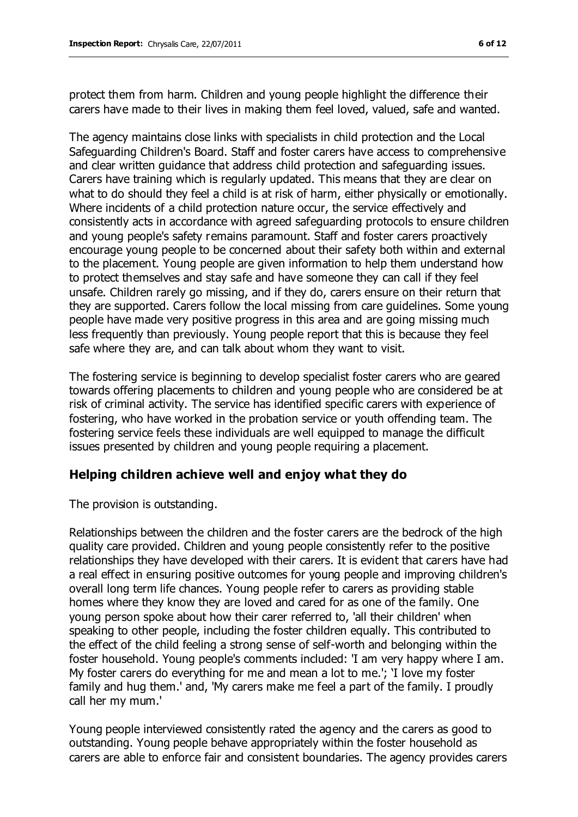protect them from harm. Children and young people highlight the difference their carers have made to their lives in making them feel loved, valued, safe and wanted.

The agency maintains close links with specialists in child protection and the Local Safeguarding Children's Board. Staff and foster carers have access to comprehensive and clear written guidance that address child protection and safeguarding issues. Carers have training which is regularly updated. This means that they are clear on what to do should they feel a child is at risk of harm, either physically or emotionally. Where incidents of a child protection nature occur, the service effectively and consistently acts in accordance with agreed safeguarding protocols to ensure children and young people's safety remains paramount. Staff and foster carers proactively encourage young people to be concerned about their safety both within and external to the placement. Young people are given information to help them understand how to protect themselves and stay safe and have someone they can call if they feel unsafe. Children rarely go missing, and if they do, carers ensure on their return that they are supported. Carers follow the local missing from care guidelines. Some young people have made very positive progress in this area and are going missing much less frequently than previously. Young people report that this is because they feel safe where they are, and can talk about whom they want to visit.

The fostering service is beginning to develop specialist foster carers who are geared towards offering placements to children and young people who are considered be at risk of criminal activity. The service has identified specific carers with experience of fostering, who have worked in the probation service or youth offending team. The fostering service feels these individuals are well equipped to manage the difficult issues presented by children and young people requiring a placement.

#### **Helping children achieve well and enjoy what they do**

The provision is outstanding.

Relationships between the children and the foster carers are the bedrock of the high quality care provided. Children and young people consistently refer to the positive relationships they have developed with their carers. It is evident that carers have had a real effect in ensuring positive outcomes for young people and improving children's overall long term life chances. Young people refer to carers as providing stable homes where they know they are loved and cared for as one of the family. One young person spoke about how their carer referred to, 'all their children' when speaking to other people, including the foster children equally. This contributed to the effect of the child feeling a strong sense of self-worth and belonging within the foster household. Young people's comments included: 'I am very happy where I am. My foster carers do everything for me and mean a lot to me.'; 'I love my foster family and hug them.' and, 'My carers make me feel a part of the family. I proudly call her my mum.'

Young people interviewed consistently rated the agency and the carers as good to outstanding. Young people behave appropriately within the foster household as carers are able to enforce fair and consistent boundaries. The agency provides carers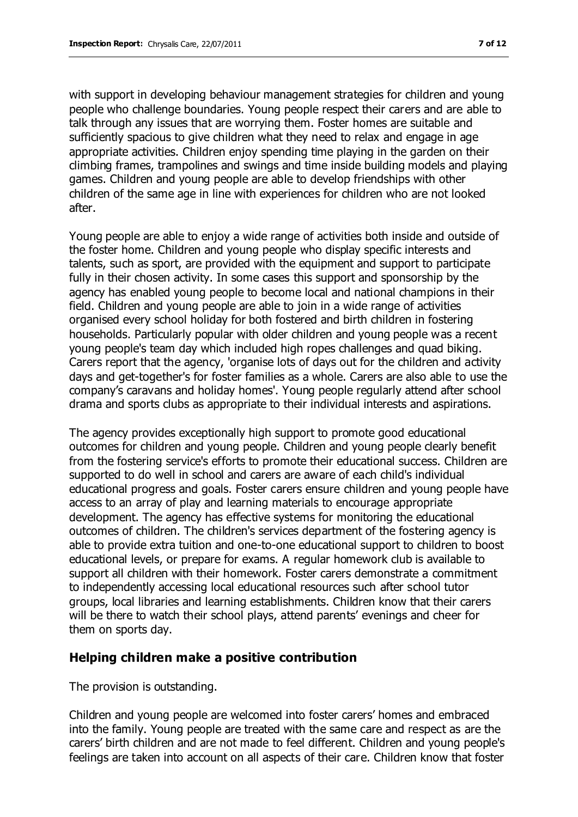with support in developing behaviour management strategies for children and young people who challenge boundaries. Young people respect their carers and are able to talk through any issues that are worrying them. Foster homes are suitable and sufficiently spacious to give children what they need to relax and engage in age appropriate activities. Children enjoy spending time playing in the garden on their climbing frames, trampolines and swings and time inside building models and playing games. Children and young people are able to develop friendships with other children of the same age in line with experiences for children who are not looked after.

Young people are able to enjoy a wide range of activities both inside and outside of the foster home. Children and young people who display specific interests and talents, such as sport, are provided with the equipment and support to participate fully in their chosen activity. In some cases this support and sponsorship by the agency has enabled young people to become local and national champions in their field. Children and young people are able to join in a wide range of activities organised every school holiday for both fostered and birth children in fostering households. Particularly popular with older children and young people was a recent young people's team day which included high ropes challenges and quad biking. Carers report that the agency, 'organise lots of days out for the children and activity days and get-together's for foster families as a whole. Carers are also able to use the company's caravans and holiday homes'. Young people regularly attend after school drama and sports clubs as appropriate to their individual interests and aspirations.

The agency provides exceptionally high support to promote good educational outcomes for children and young people. Children and young people clearly benefit from the fostering service's efforts to promote their educational success. Children are supported to do well in school and carers are aware of each child's individual educational progress and goals. Foster carers ensure children and young people have access to an array of play and learning materials to encourage appropriate development. The agency has effective systems for monitoring the educational outcomes of children. The children's services department of the fostering agency is able to provide extra tuition and one-to-one educational support to children to boost educational levels, or prepare for exams. A regular homework club is available to support all children with their homework. Foster carers demonstrate a commitment to independently accessing local educational resources such after school tutor groups, local libraries and learning establishments. Children know that their carers will be there to watch their school plays, attend parents' evenings and cheer for them on sports day.

#### **Helping children make a positive contribution**

The provision is outstanding.

Children and young people are welcomed into foster carers' homes and embraced into the family. Young people are treated with the same care and respect as are the carers' birth children and are not made to feel different. Children and young people's feelings are taken into account on all aspects of their care. Children know that foster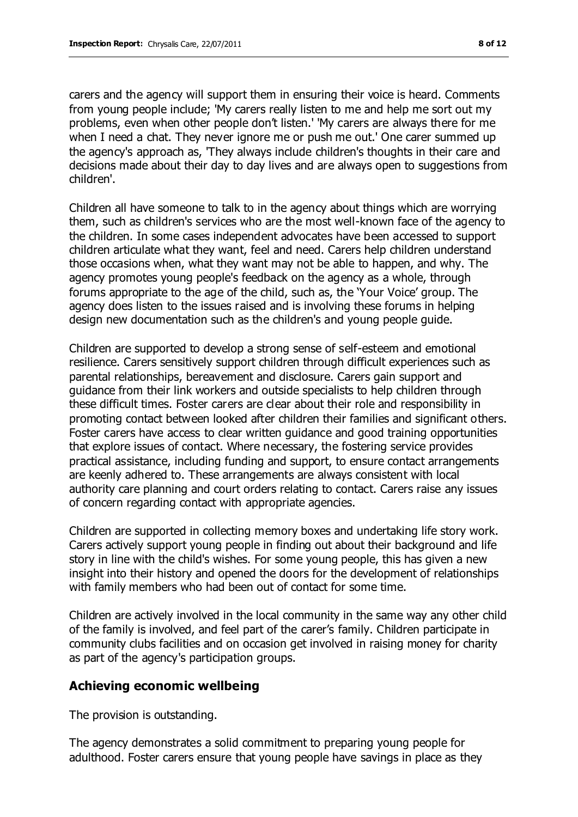carers and the agency will support them in ensuring their voice is heard. Comments from young people include; 'My carers really listen to me and help me sort out my problems, even when other people don't listen.' 'My carers are always there for me when I need a chat. They never ignore me or push me out.' One carer summed up the agency's approach as, 'They always include children's thoughts in their care and decisions made about their day to day lives and are always open to suggestions from children'.

Children all have someone to talk to in the agency about things which are worrying them, such as children's services who are the most well-known face of the agency to the children. In some cases independent advocates have been accessed to support children articulate what they want, feel and need. Carers help children understand those occasions when, what they want may not be able to happen, and why. The agency promotes young people's feedback on the agency as a whole, through forums appropriate to the age of the child, such as, the 'Your Voice' group. The agency does listen to the issues raised and is involving these forums in helping design new documentation such as the children's and young people guide.

Children are supported to develop a strong sense of self-esteem and emotional resilience. Carers sensitively support children through difficult experiences such as parental relationships, bereavement and disclosure. Carers gain support and guidance from their link workers and outside specialists to help children through these difficult times. Foster carers are clear about their role and responsibility in promoting contact between looked after children their families and significant others. Foster carers have access to clear written guidance and good training opportunities that explore issues of contact. Where necessary, the fostering service provides practical assistance, including funding and support, to ensure contact arrangements are keenly adhered to. These arrangements are always consistent with local authority care planning and court orders relating to contact. Carers raise any issues of concern regarding contact with appropriate agencies.

Children are supported in collecting memory boxes and undertaking life story work. Carers actively support young people in finding out about their background and life story in line with the child's wishes. For some young people, this has given a new insight into their history and opened the doors for the development of relationships with family members who had been out of contact for some time.

Children are actively involved in the local community in the same way any other child of the family is involved, and feel part of the carer's family. Children participate in community clubs facilities and on occasion get involved in raising money for charity as part of the agency's participation groups.

#### **Achieving economic wellbeing**

The provision is outstanding.

The agency demonstrates a solid commitment to preparing young people for adulthood. Foster carers ensure that young people have savings in place as they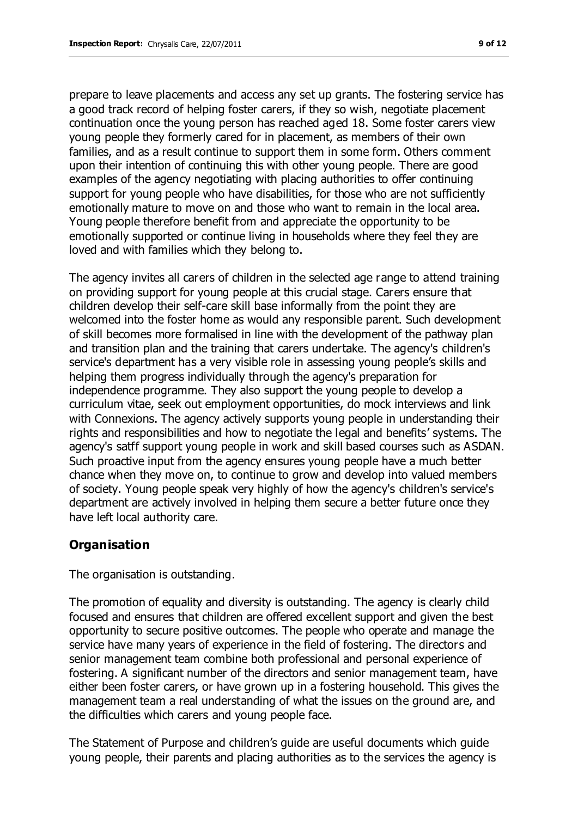prepare to leave placements and access any set up grants. The fostering service has a good track record of helping foster carers, if they so wish, negotiate placement continuation once the young person has reached aged 18. Some foster carers view young people they formerly cared for in placement, as members of their own families, and as a result continue to support them in some form. Others comment upon their intention of continuing this with other young people. There are good examples of the agency negotiating with placing authorities to offer continuing support for young people who have disabilities, for those who are not sufficiently emotionally mature to move on and those who want to remain in the local area. Young people therefore benefit from and appreciate the opportunity to be emotionally supported or continue living in households where they feel they are loved and with families which they belong to.

The agency invites all carers of children in the selected age range to attend training on providing support for young people at this crucial stage. Carers ensure that children develop their self-care skill base informally from the point they are welcomed into the foster home as would any responsible parent. Such development of skill becomes more formalised in line with the development of the pathway plan and transition plan and the training that carers undertake. The agency's children's service's department has a very visible role in assessing young people's skills and helping them progress individually through the agency's preparation for independence programme. They also support the young people to develop a curriculum vitae, seek out employment opportunities, do mock interviews and link with Connexions. The agency actively supports young people in understanding their rights and responsibilities and how to negotiate the legal and benefits' systems. The agency's satff support young people in work and skill based courses such as ASDAN. Such proactive input from the agency ensures young people have a much better chance when they move on, to continue to grow and develop into valued members of society. Young people speak very highly of how the agency's children's service's department are actively involved in helping them secure a better future once they have left local authority care.

## **Organisation**

The organisation is outstanding.

The promotion of equality and diversity is outstanding. The agency is clearly child focused and ensures that children are offered excellent support and given the best opportunity to secure positive outcomes. The people who operate and manage the service have many years of experience in the field of fostering. The directors and senior management team combine both professional and personal experience of fostering. A significant number of the directors and senior management team, have either been foster carers, or have grown up in a fostering household. This gives the management team a real understanding of what the issues on the ground are, and the difficulties which carers and young people face.

The Statement of Purpose and children's guide are useful documents which guide young people, their parents and placing authorities as to the services the agency is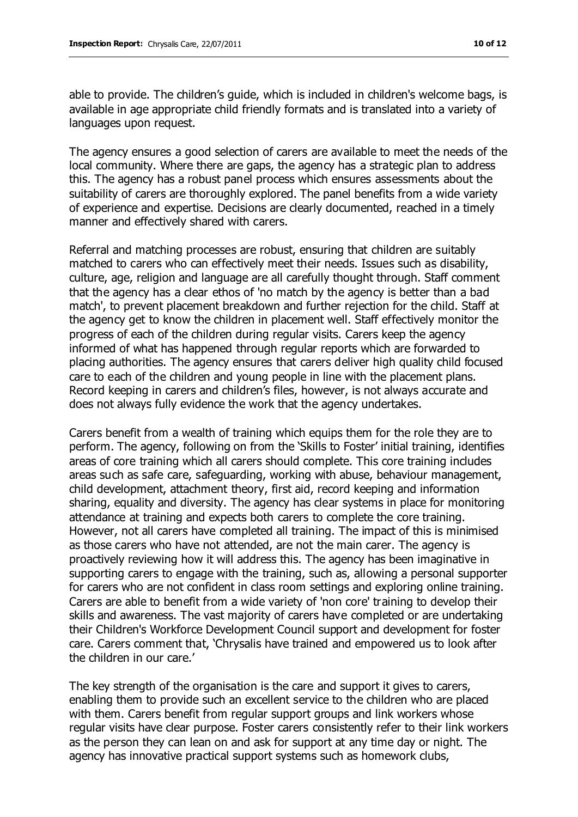able to provide. The children's guide, which is included in children's welcome bags, is available in age appropriate child friendly formats and is translated into a variety of languages upon request.

The agency ensures a good selection of carers are available to meet the needs of the local community. Where there are gaps, the agency has a strategic plan to address this. The agency has a robust panel process which ensures assessments about the suitability of carers are thoroughly explored. The panel benefits from a wide variety of experience and expertise. Decisions are clearly documented, reached in a timely manner and effectively shared with carers.

Referral and matching processes are robust, ensuring that children are suitably matched to carers who can effectively meet their needs. Issues such as disability, culture, age, religion and language are all carefully thought through. Staff comment that the agency has a clear ethos of 'no match by the agency is better than a bad match', to prevent placement breakdown and further rejection for the child. Staff at the agency get to know the children in placement well. Staff effectively monitor the progress of each of the children during regular visits. Carers keep the agency informed of what has happened through regular reports which are forwarded to placing authorities. The agency ensures that carers deliver high quality child focused care to each of the children and young people in line with the placement plans. Record keeping in carers and children's files, however, is not always accurate and does not always fully evidence the work that the agency undertakes.

Carers benefit from a wealth of training which equips them for the role they are to perform. The agency, following on from the 'Skills to Foster' initial training, identifies areas of core training which all carers should complete. This core training includes areas such as safe care, safeguarding, working with abuse, behaviour management, child development, attachment theory, first aid, record keeping and information sharing, equality and diversity. The agency has clear systems in place for monitoring attendance at training and expects both carers to complete the core training. However, not all carers have completed all training. The impact of this is minimised as those carers who have not attended, are not the main carer. The agency is proactively reviewing how it will address this. The agency has been imaginative in supporting carers to engage with the training, such as, allowing a personal supporter for carers who are not confident in class room settings and exploring online training. Carers are able to benefit from a wide variety of 'non core' training to develop their skills and awareness. The vast majority of carers have completed or are undertaking their Children's Workforce Development Council support and development for foster care. Carers comment that, 'Chrysalis have trained and empowered us to look after the children in our care.'

The key strength of the organisation is the care and support it gives to carers, enabling them to provide such an excellent service to the children who are placed with them. Carers benefit from regular support groups and link workers whose regular visits have clear purpose. Foster carers consistently refer to their link workers as the person they can lean on and ask for support at any time day or night. The agency has innovative practical support systems such as homework clubs,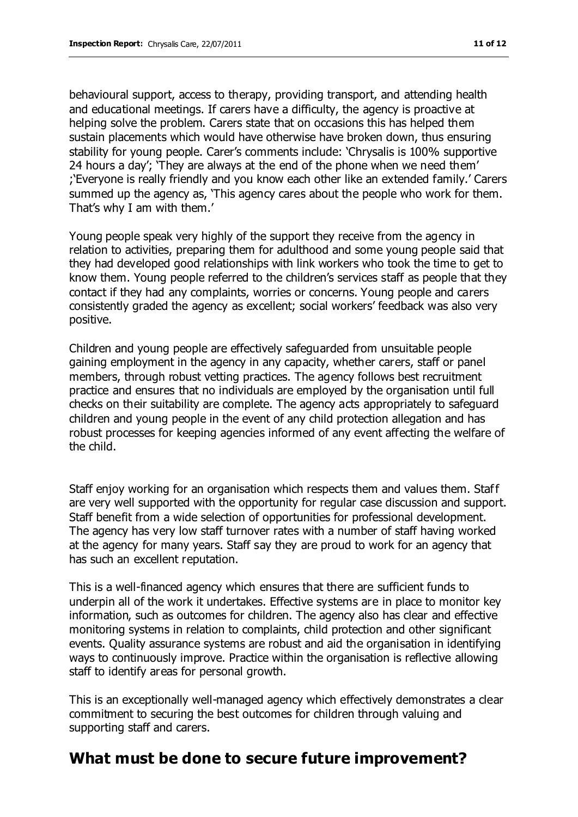behavioural support, access to therapy, providing transport, and attending health and educational meetings. If carers have a difficulty, the agency is proactive at helping solve the problem. Carers state that on occasions this has helped them sustain placements which would have otherwise have broken down, thus ensuring stability for young people. Carer's comments include: 'Chrysalis is 100% supportive 24 hours a day'; 'They are always at the end of the phone when we need them' ;'Everyone is really friendly and you know each other like an extended family.' Carers summed up the agency as, 'This agency cares about the people who work for them. That's why I am with them.'

Young people speak very highly of the support they receive from the agency in relation to activities, preparing them for adulthood and some young people said that they had developed good relationships with link workers who took the time to get to know them. Young people referred to the children's services staff as people that they contact if they had any complaints, worries or concerns. Young people and carers consistently graded the agency as excellent; social workers' feedback was also very positive.

Children and young people are effectively safeguarded from unsuitable people gaining employment in the agency in any capacity, whether carers, staff or panel members, through robust vetting practices. The agency follows best recruitment practice and ensures that no individuals are employed by the organisation until full checks on their suitability are complete. The agency acts appropriately to safeguard children and young people in the event of any child protection allegation and has robust processes for keeping agencies informed of any event affecting the welfare of the child.

Staff enjoy working for an organisation which respects them and values them. Staff are very well supported with the opportunity for regular case discussion and support. Staff benefit from a wide selection of opportunities for professional development. The agency has very low staff turnover rates with a number of staff having worked at the agency for many years. Staff say they are proud to work for an agency that has such an excellent reputation.

This is a well-financed agency which ensures that there are sufficient funds to underpin all of the work it undertakes. Effective systems are in place to monitor key information, such as outcomes for children. The agency also has clear and effective monitoring systems in relation to complaints, child protection and other significant events. Quality assurance systems are robust and aid the organisation in identifying ways to continuously improve. Practice within the organisation is reflective allowing staff to identify areas for personal growth.

This is an exceptionally well-managed agency which effectively demonstrates a clear commitment to securing the best outcomes for children through valuing and supporting staff and carers.

## **What must be done to secure future improvement?**